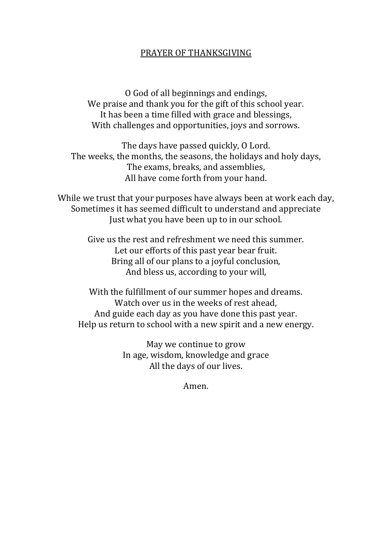## PRAYER OF THANKSGIVING

O God of all beginnings and endings, We praise and thank you for the gift of this school year. It has been a time filled with grace and blessings, With challenges and opportunities, joys and sorrows.

The days have passed quickly, O Lord. The weeks, the months, the seasons, the holidays and holy days, The exams, breaks, and assemblies, All have come forth from your hand.

While we trust that your purposes have always been at work each day, Sometimes it has seemed difficult to understand and appreciate Just what you have been up to in our school.

> Give us the rest and refreshment we need this summer. Let our efforts of this past year bear fruit. Bring all of our plans to a joyful conclusion, And bless us, according to your will,

With the fulfillment of our summer hopes and dreams. Watch over us in the weeks of rest ahead, And guide each day as you have done this past year. Help us return to school with a new spirit and a new energy.

> May we continue to grow In age, wisdom, knowledge and grace All the days of our lives.

> > Amen.